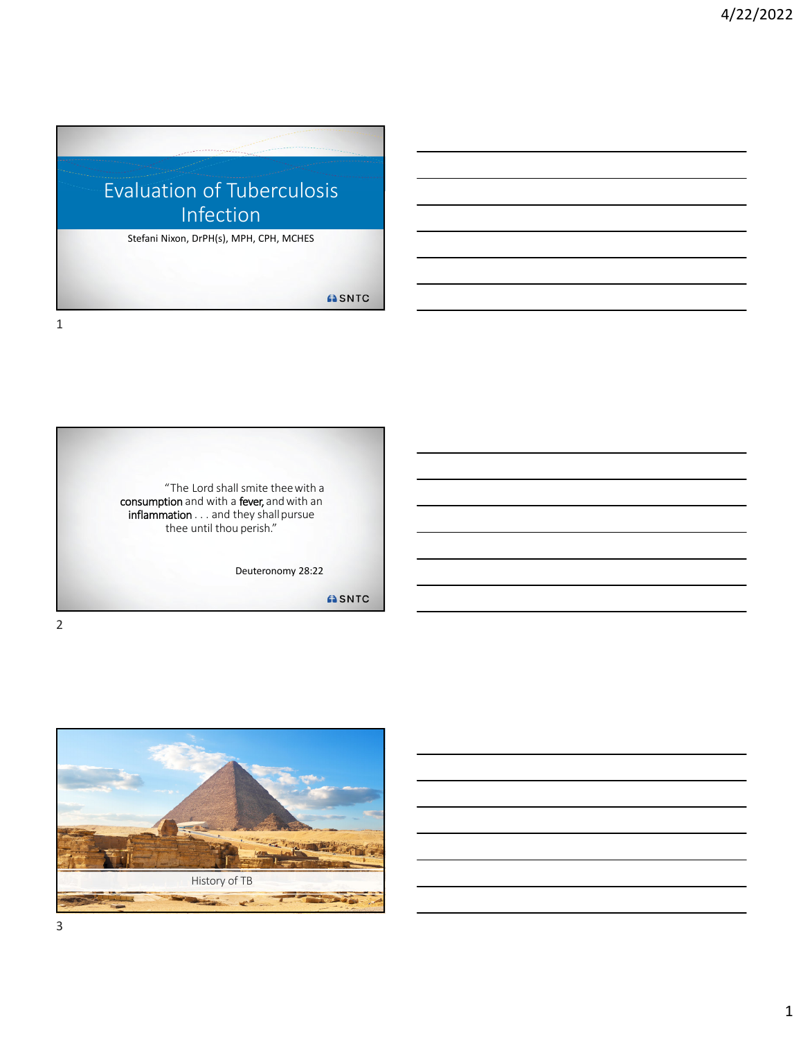

"The Lord shall smite theewith a **consumption** and with a **fever,** and with an inflammation . . . and they shall pursue thee until thou perish." Deuteronomy 28:22 ASNTC

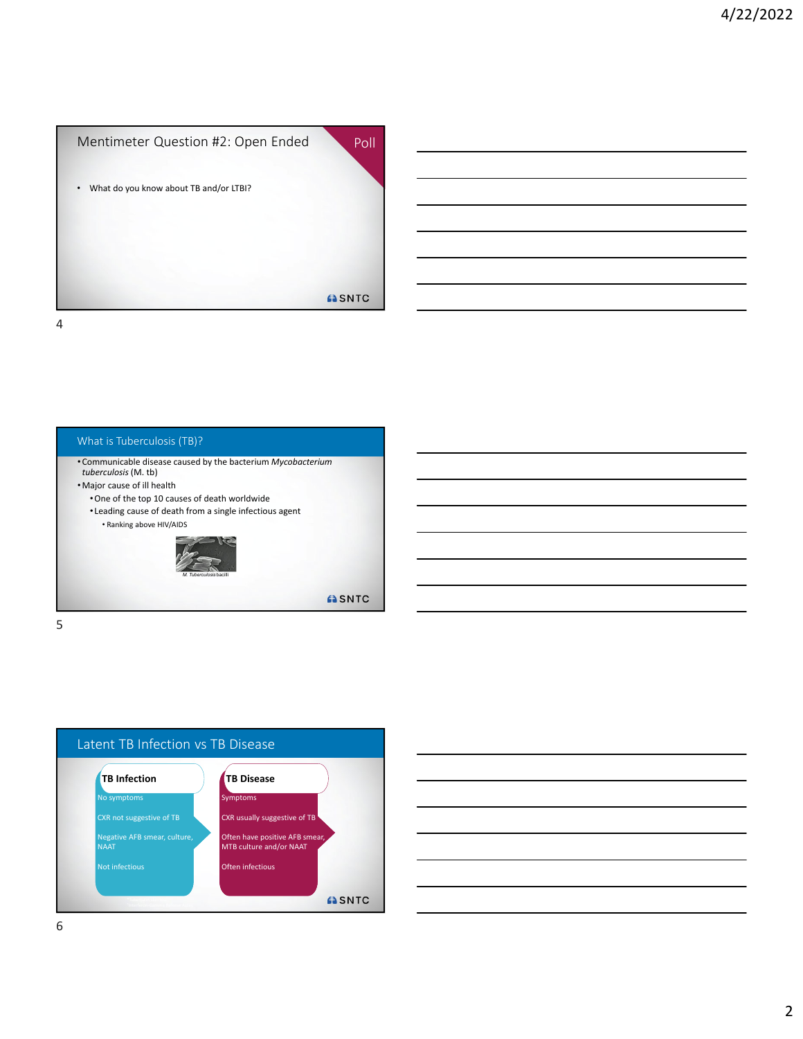





|                                                                                                 |  | $\sim$ $\sim$ |
|-------------------------------------------------------------------------------------------------|--|---------------|
|                                                                                                 |  |               |
|                                                                                                 |  |               |
|                                                                                                 |  |               |
|                                                                                                 |  |               |
|                                                                                                 |  |               |
|                                                                                                 |  |               |
| the contract of the contract of the contract of the contract of the contract of the contract of |  |               |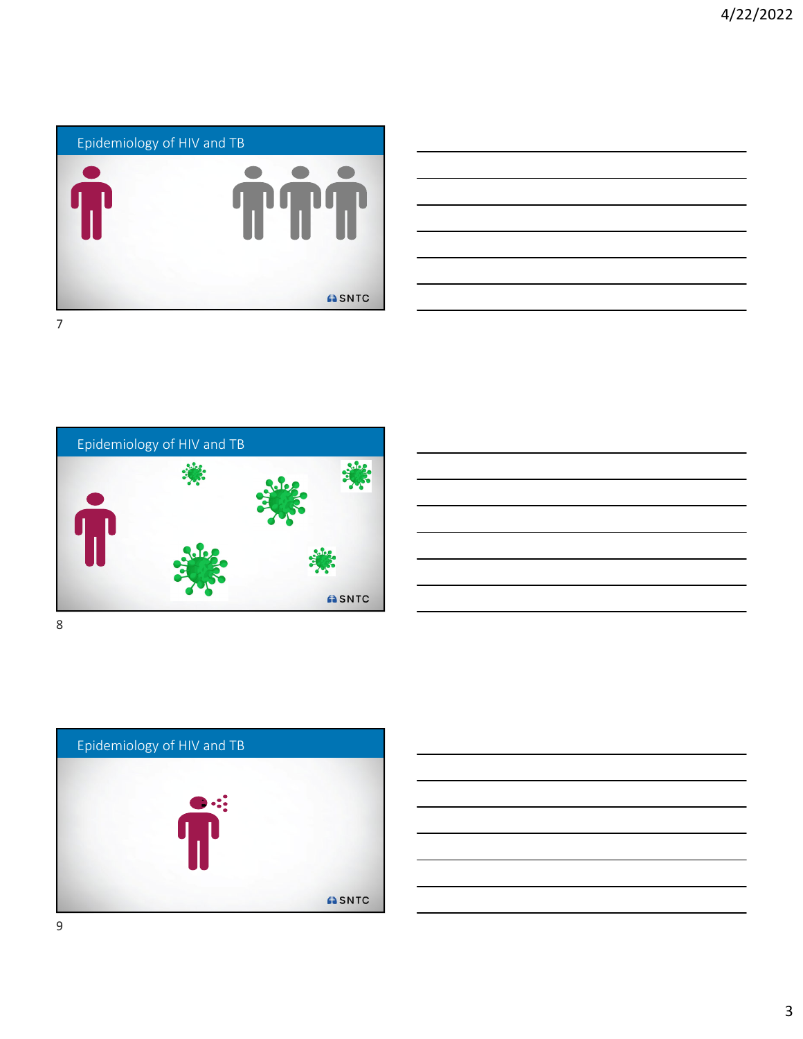

| <u>. Andre de la contrada de la contrada de la contrada de la contrada de la contrada de la contrada de la contra</u> |
|-----------------------------------------------------------------------------------------------------------------------|
|                                                                                                                       |
|                                                                                                                       |
|                                                                                                                       |
|                                                                                                                       |
|                                                                                                                       |
|                                                                                                                       |
|                                                                                                                       |
|                                                                                                                       |
|                                                                                                                       |
|                                                                                                                       |
|                                                                                                                       |
|                                                                                                                       |







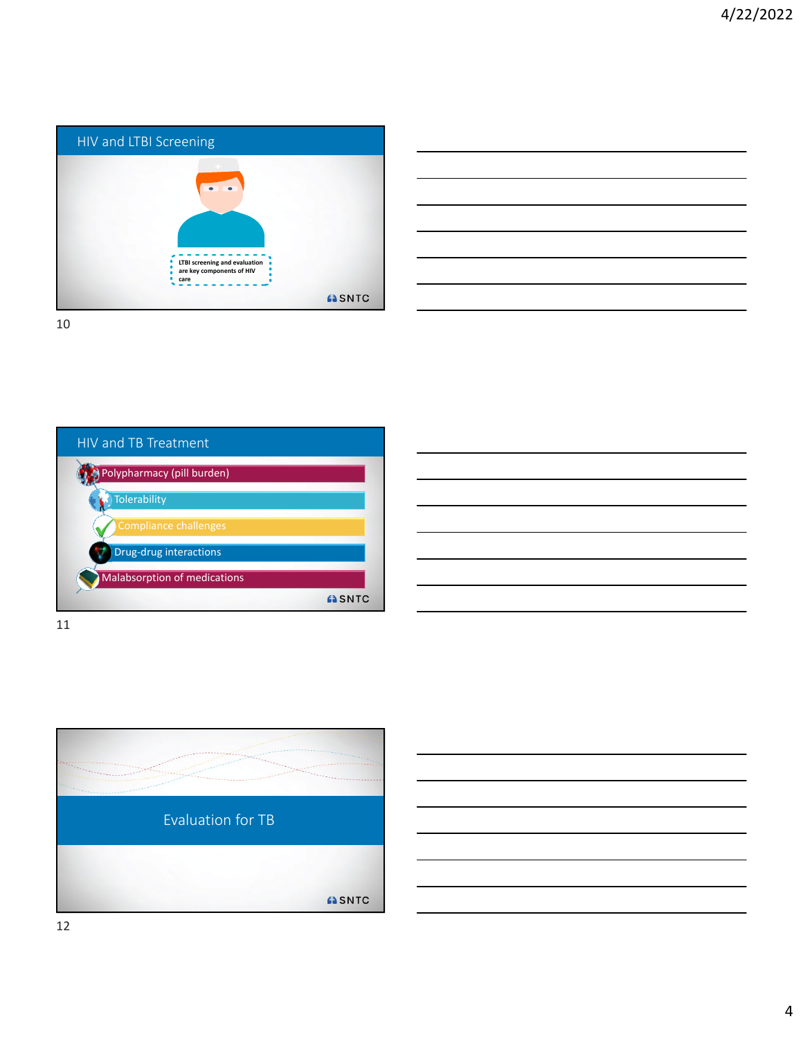

|                                                                                                                      |  | <u> 2002 - Andrea Andrew Maria (h. 1888).</u>                                                                    |
|----------------------------------------------------------------------------------------------------------------------|--|------------------------------------------------------------------------------------------------------------------|
| <u> 1989 - Johann Stoff, amerikansk politiker (d. 1989)</u>                                                          |  |                                                                                                                  |
| <u> 1989 - Andrea Santa Andrea Andrea Andrea Andrea Andrea Andrea Andrea Andrea Andrea Andrea Andrea Andrea Andr</u> |  |                                                                                                                  |
|                                                                                                                      |  | and the control of the control of the control of the control of the control of the control of the control of the |
| <u> 1989 - Andrea Andrew Maria (h. 1989).</u>                                                                        |  |                                                                                                                  |
|                                                                                                                      |  |                                                                                                                  |
|                                                                                                                      |  |                                                                                                                  |

HIV and TB Treatment Polypharmacy (pill burden) **Tolerability** Compliance challenges Drug-drug interactions Malabsorption of medications ASNTC

11

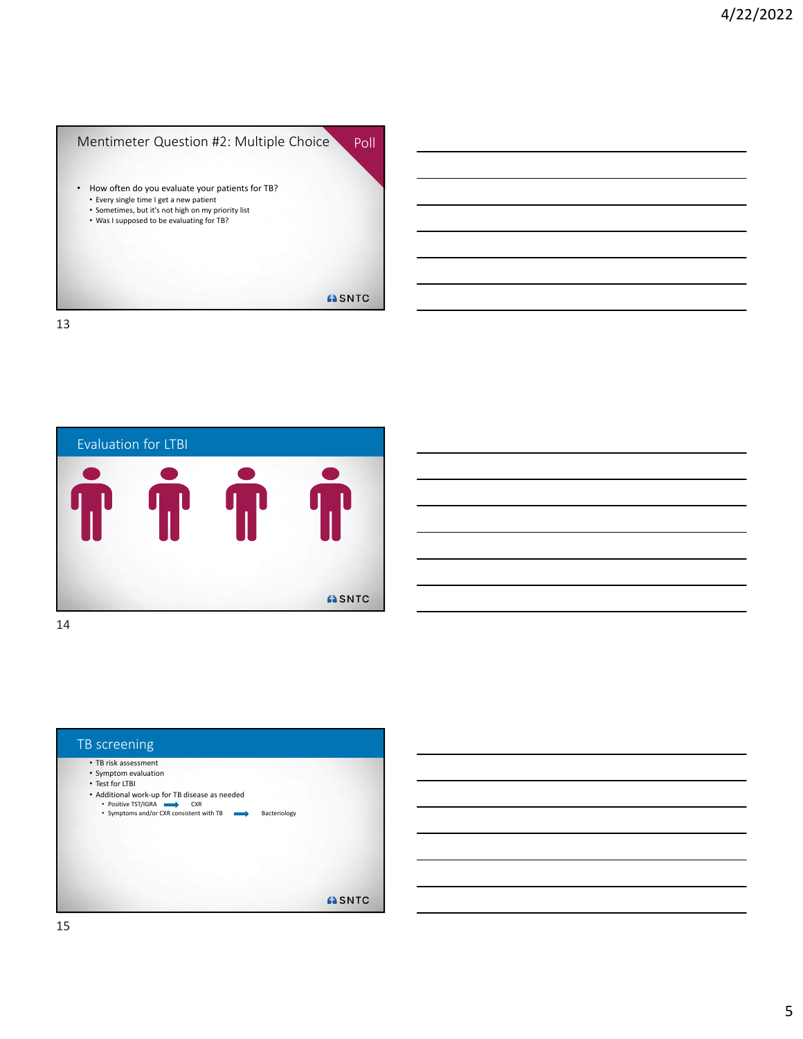

Evaluation for LTBI ASNTC



15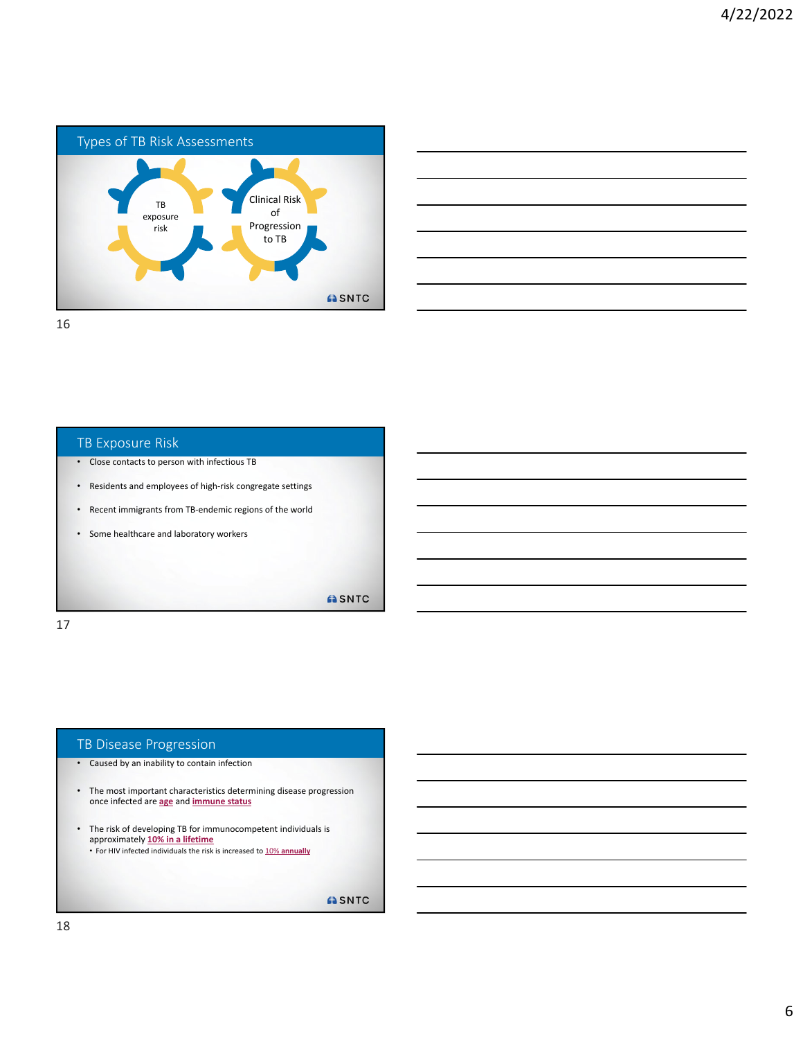

| the control of the control of the control of the control of the control of the control of the control of the control of |       |
|-------------------------------------------------------------------------------------------------------------------------|-------|
|                                                                                                                         |       |
|                                                                                                                         |       |
|                                                                                                                         |       |
|                                                                                                                         | _____ |
|                                                                                                                         |       |
|                                                                                                                         |       |
|                                                                                                                         |       |
|                                                                                                                         |       |
|                                                                                                                         |       |
|                                                                                                                         |       |
| $\overline{\phantom{a}}$                                                                                                | ____  |
|                                                                                                                         |       |
|                                                                                                                         |       |
| <u> Alexandro de la contrada de la contrada de la contrada de la contrada de la contrada de la contrada de la co</u>    | _____ |
|                                                                                                                         |       |
|                                                                                                                         |       |
|                                                                                                                         |       |
|                                                                                                                         |       |
|                                                                                                                         |       |
|                                                                                                                         |       |
|                                                                                                                         |       |

### TB Exposure Risk

- Close contacts to person with infectious TB
- Residents and employees of high‐risk congregate settings
- Recent immigrants from TB‐endemic regions of the world
- Some healthcare and laboratory workers

ASNTC

17

### TB Disease Progression

- Caused by an inability to contain infection
- The most important characteristics determining disease progression once infected are **age** and **immune status**
- The risk of developing TB for immunocompetent individuals is approximately **10% in a lifetime**

• For HIV infected individuals the risk is increased to 10% **annually**

**ASNTC**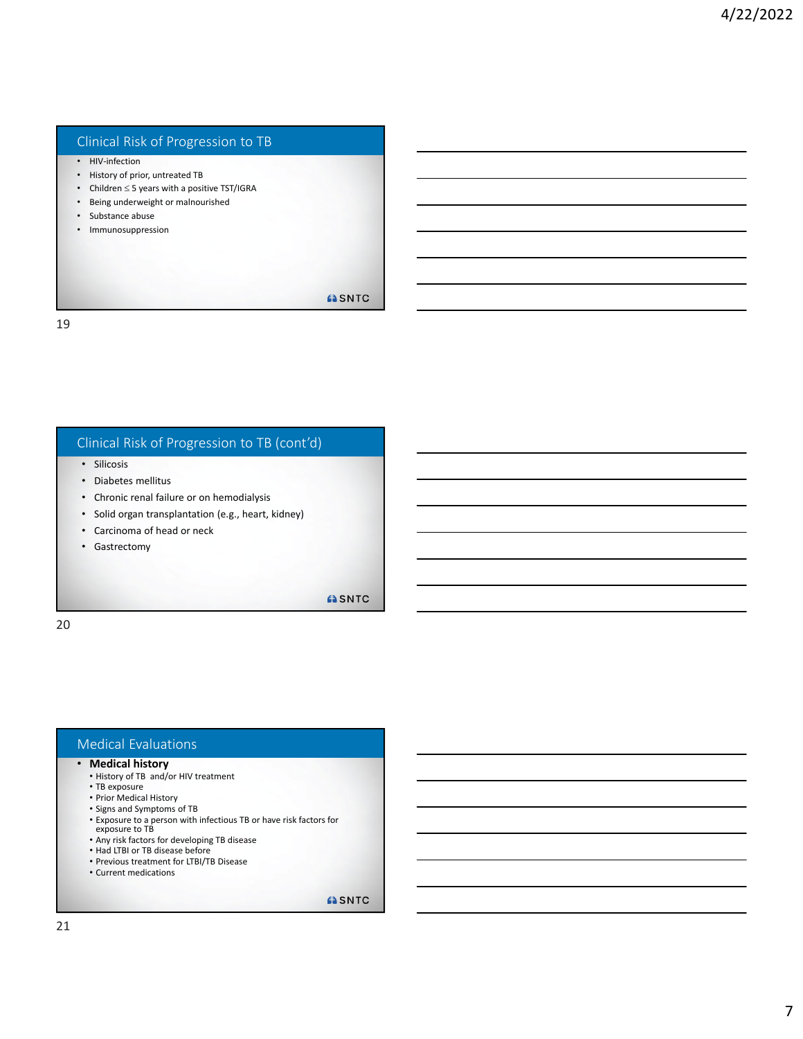## Clinical Risk of Progression to TB

- HIV-infection
- History of prior, untreated TB
- Children  $\leq$  5 years with a positive TST/IGRA
- Being underweight or malnourished
- Substance abuse
- Immunosuppression

**ASNTC** 

19

### Clinical Risk of Progression to TB (cont'd)

- Silicosis
- Diabetes mellitus
- Chronic renal failure or on hemodialysis
- Solid organ transplantation (e.g., heart, kidney)
- Carcinoma of head or neck
- Gastrectomy

**ASNTC** 

20

#### Medical Evaluations

#### • **Medical history**

- History of TB and/or HIV treatment
- TB exposure
- Prior Medical History
- Signs and Symptoms of TB
- Exposure to a person with infectious TB or have risk factors for
- exposure to TB
- Any risk factors for developing TB disease
- Had LTBI or TB disease before • Previous treatment for LTBI/TB Disease
- Current medications
- 

**ASNTC**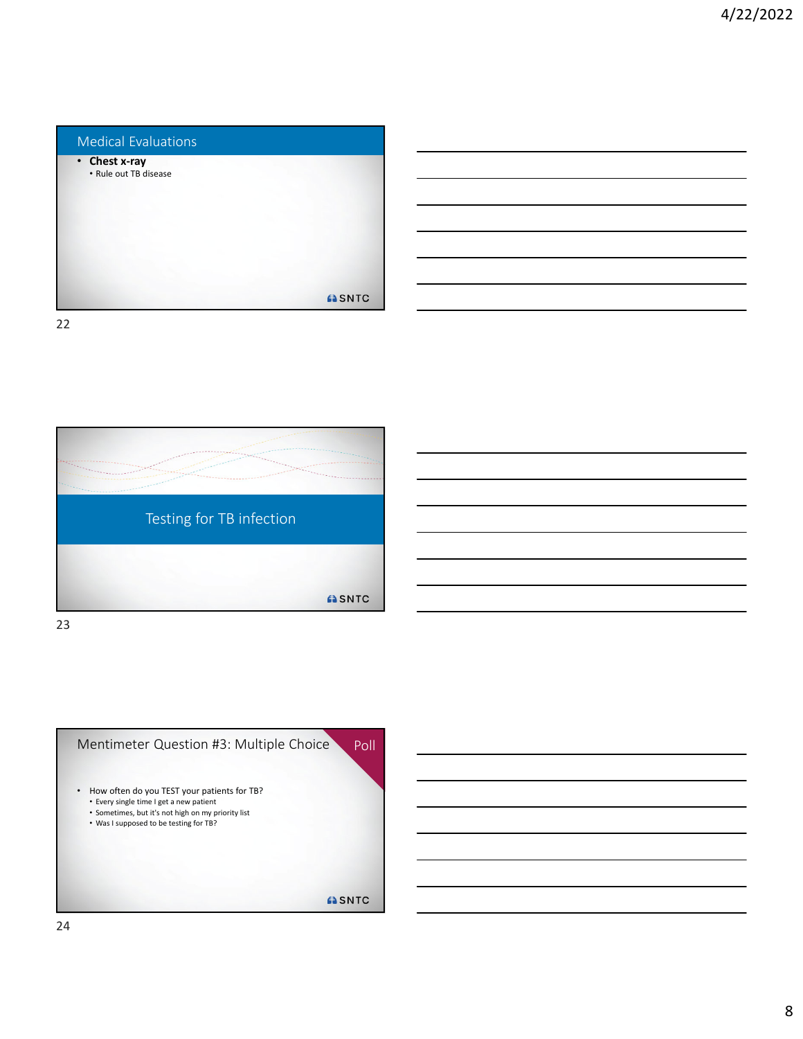



23

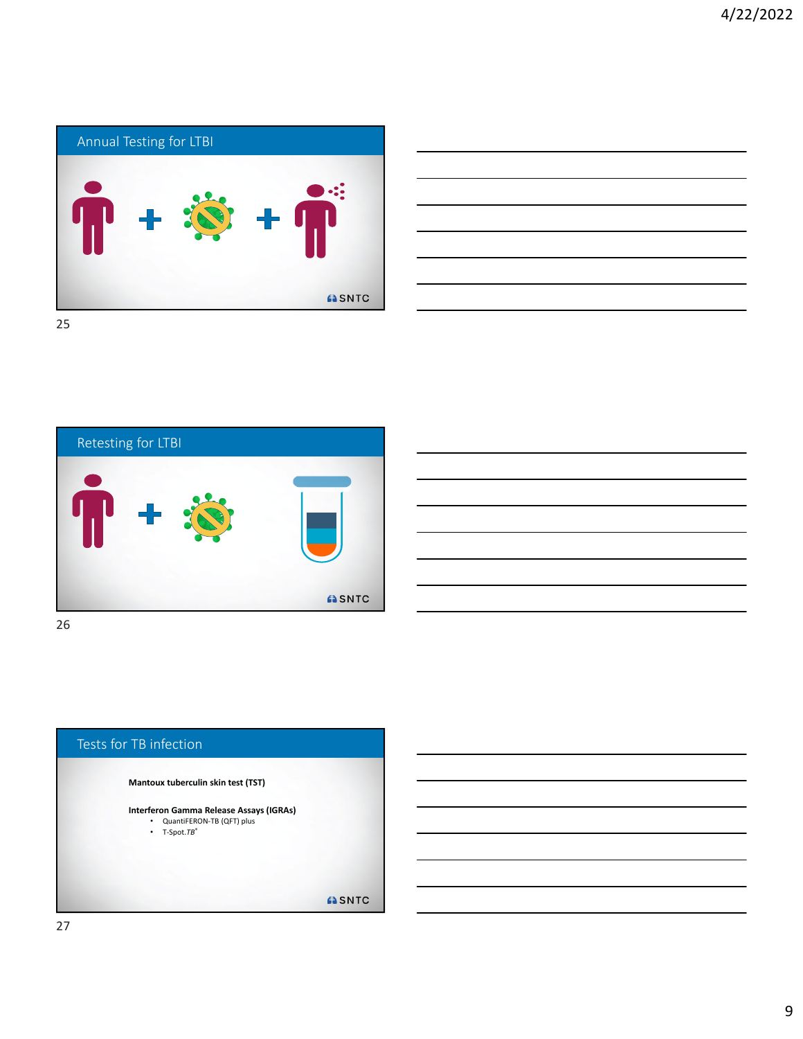





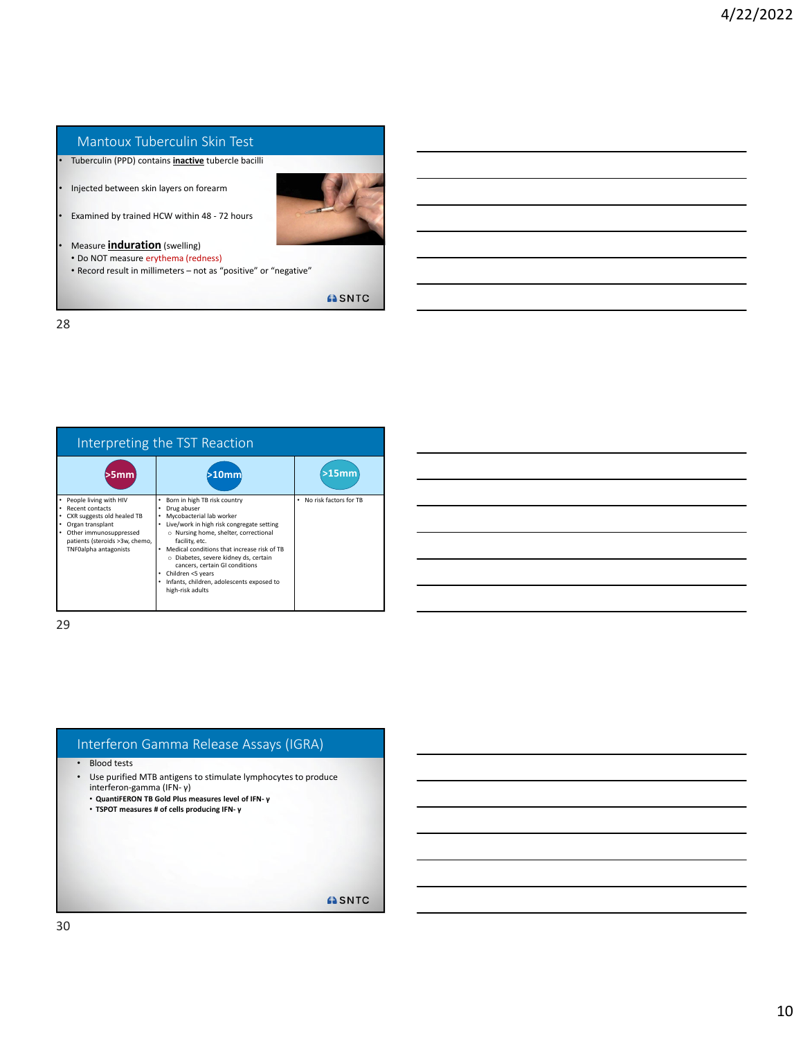### Mantoux Tuberculin Skin Test

• Tuberculin (PPD) contains **inactive** tubercle bacilli

• Injected between skin layers on forearm

• Examined by trained HCW within 48 ‐ 72 hours

• Measure **induration** (swelling) • Do NOT measure erythema (redness)

• Record result in millimeters – not as "positive" or "negative"

**ASNTC** 

28

| Interpreting the TST Reaction                                                                                                                                                                      |                                                                                                                                                                                                                                                                                                                                                                                                                     |                             |  |  |
|----------------------------------------------------------------------------------------------------------------------------------------------------------------------------------------------------|---------------------------------------------------------------------------------------------------------------------------------------------------------------------------------------------------------------------------------------------------------------------------------------------------------------------------------------------------------------------------------------------------------------------|-----------------------------|--|--|
| >5 <sub>mm</sub>                                                                                                                                                                                   | >10 <sub>mm</sub>                                                                                                                                                                                                                                                                                                                                                                                                   | $>15$ mm                    |  |  |
| People living with HIV<br>$\bullet$<br>Recent contacts<br>CXR suggests old healed TB<br>Organ transplant<br>٠<br>Other immunosuppressed<br>patients (steroids >3w, chemo,<br>TNF0alpha antagonists | Born in high TB risk country<br>٠<br>Drug abuser<br>Mycobacterial lab worker<br>Live/work in high risk congregate setting<br>٠<br>o Nursing home, shelter, correctional<br>facility, etc.<br>Medical conditions that increase risk of TB<br>o Diabetes, severe kidney ds, certain<br>cancers, certain GI conditions<br>Children <5 years<br>٠<br>Infants, children, adolescents exposed to<br>٠<br>high-risk adults | No risk factors for TB<br>٠ |  |  |

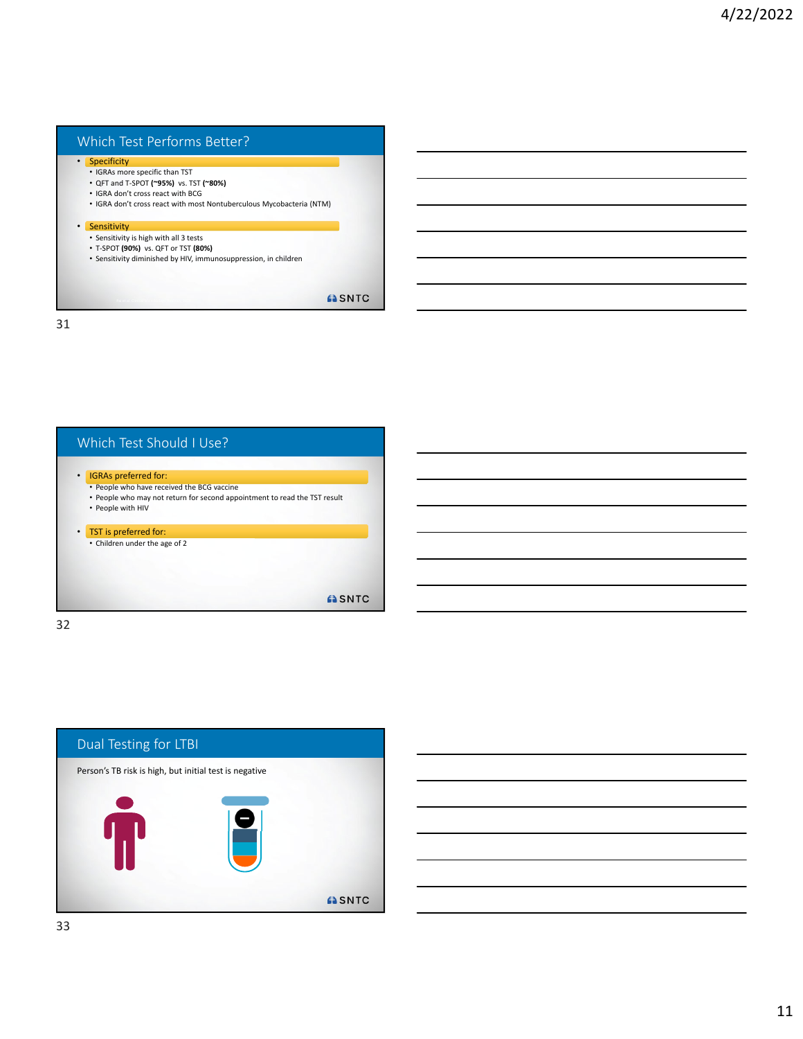### Which Test Performs Better?

#### • Specificity

- IGRAs more specific than TST
- QFT and T‐SPOT **(~95%)** vs. TST **(~80%)**
- IGRA don't cross react with BCG
- IGRA don't cross react with most Nontuberculous Mycobacteria (NTM)

#### • Sensitivity

- Sensitivity is high with all 3 tests
- T‐SPOT **(90%)** vs. QFT or TST **(80%)**
- Sensitivity diminished by HIV, immunosuppression, in children

**ASNTC** 

31



32



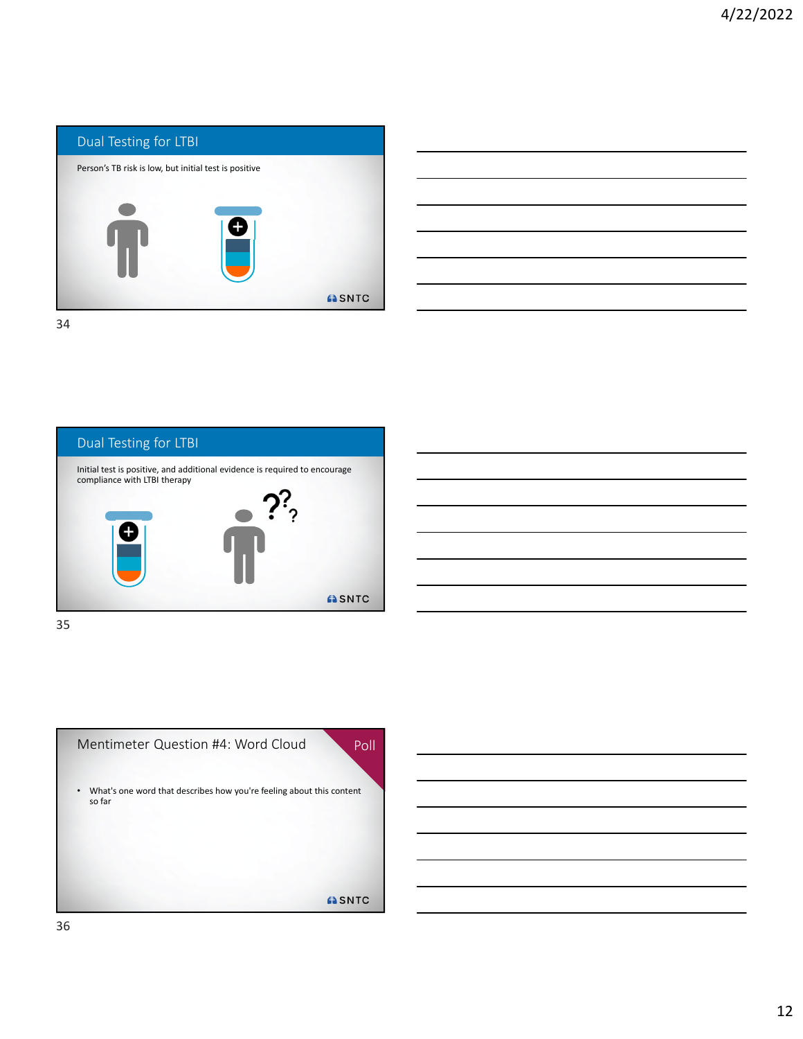

| <u> 1989 - Johann Stein, mars an deutscher Stein und der Stein und der Stein und der Stein und der Stein und der</u>  |  |                                                                                                                                                                                                                                      |
|-----------------------------------------------------------------------------------------------------------------------|--|--------------------------------------------------------------------------------------------------------------------------------------------------------------------------------------------------------------------------------------|
|                                                                                                                       |  | <u> London Communica</u>                                                                                                                                                                                                             |
|                                                                                                                       |  | $\overline{\phantom{a}}$                                                                                                                                                                                                             |
|                                                                                                                       |  | <u> a shekara ta 1999 na shekara ta 1991 na shekara ta 1991 na shekara ta 1991 na shekara ta 1991 na shekara ta 1991 na shekara ta 1991 na shekara ta 1991 na shekara ta 1991 na shekara ta 1991 na shekara ta 1991 na shekara t</u> |
|                                                                                                                       |  |                                                                                                                                                                                                                                      |
| <u> 1989 - Johann Stoff, deutscher Stoff, der Stoff, der Stoff, der Stoff, der Stoff, der Stoff, der Stoff, der S</u> |  | $\overline{\phantom{a}}$                                                                                                                                                                                                             |
|                                                                                                                       |  |                                                                                                                                                                                                                                      |





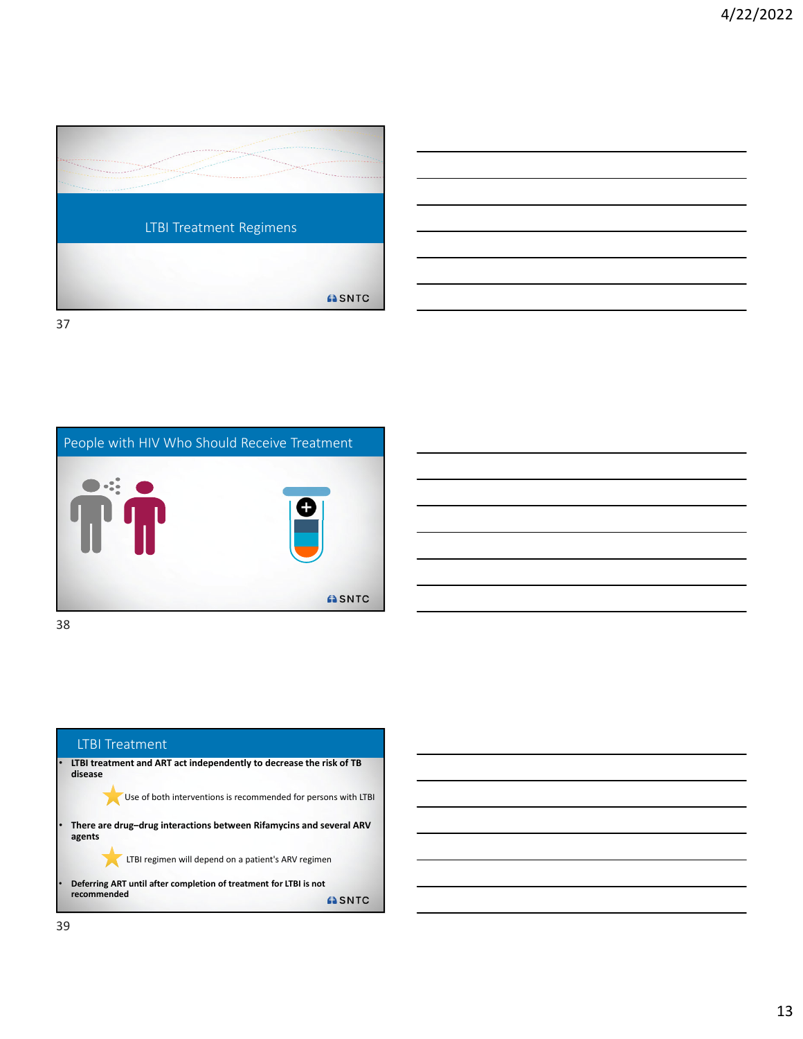



People with HIV Who Should Receive Treatment  $\bullet$  :  $\bullet$ ASNTC

38

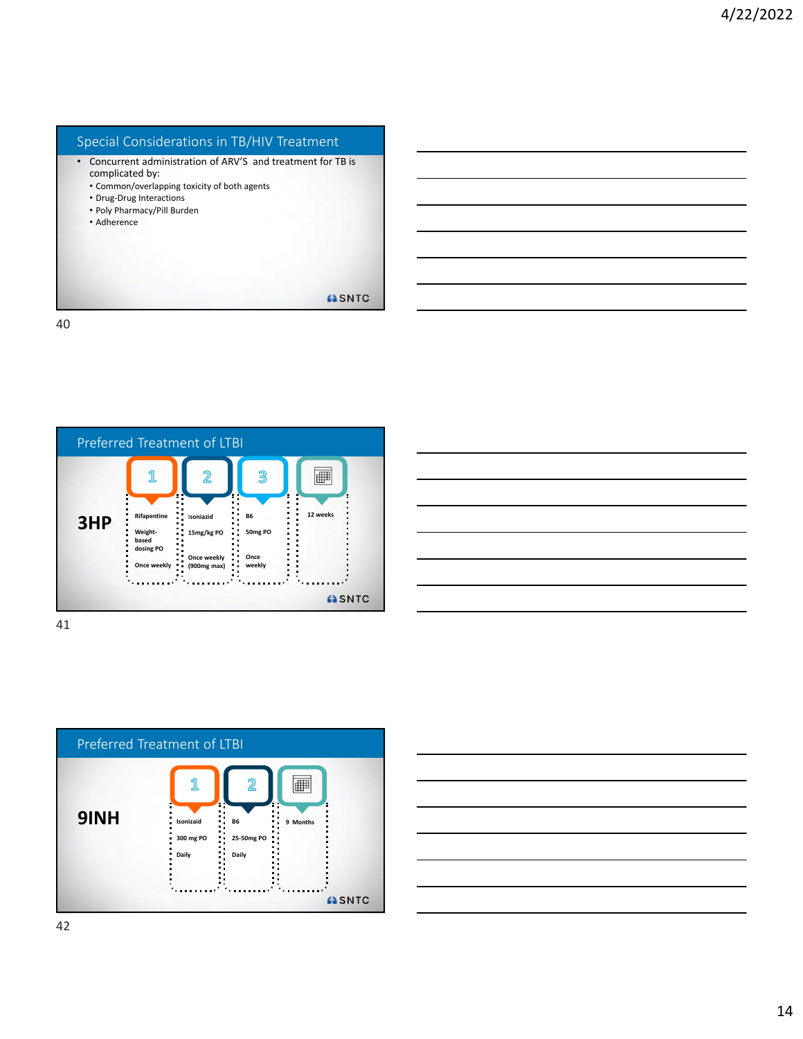# Special Considerations in TB/HIV Treatment

- Concurrent administration of ARV'S and treatment for TB is complicated by:
	- Common/overlapping toxicity of both agents
	- Drug‐Drug Interactions
	- Poly Pharmacy/Pill Burden
	- Adherence

**ASNTC** 

40





| <u> 1989 - Johann Stoff, amerikansk politiker (d. 1989)</u>                                                           |  |  |  |
|-----------------------------------------------------------------------------------------------------------------------|--|--|--|
| <u> 2000 - Andrea Andrew Amerikaanse kommunister († 1952)</u>                                                         |  |  |  |
| <u> 1989 - Johann Harry Harry Harry Harry Harry Harry Harry Harry Harry Harry Harry Harry Harry Harry Harry Harry</u> |  |  |  |
| <u> 2002 - Jan Barat de Barat de la contrada de la contrada de la contrada de la contrada de la contrada de la c</u>  |  |  |  |
|                                                                                                                       |  |  |  |
|                                                                                                                       |  |  |  |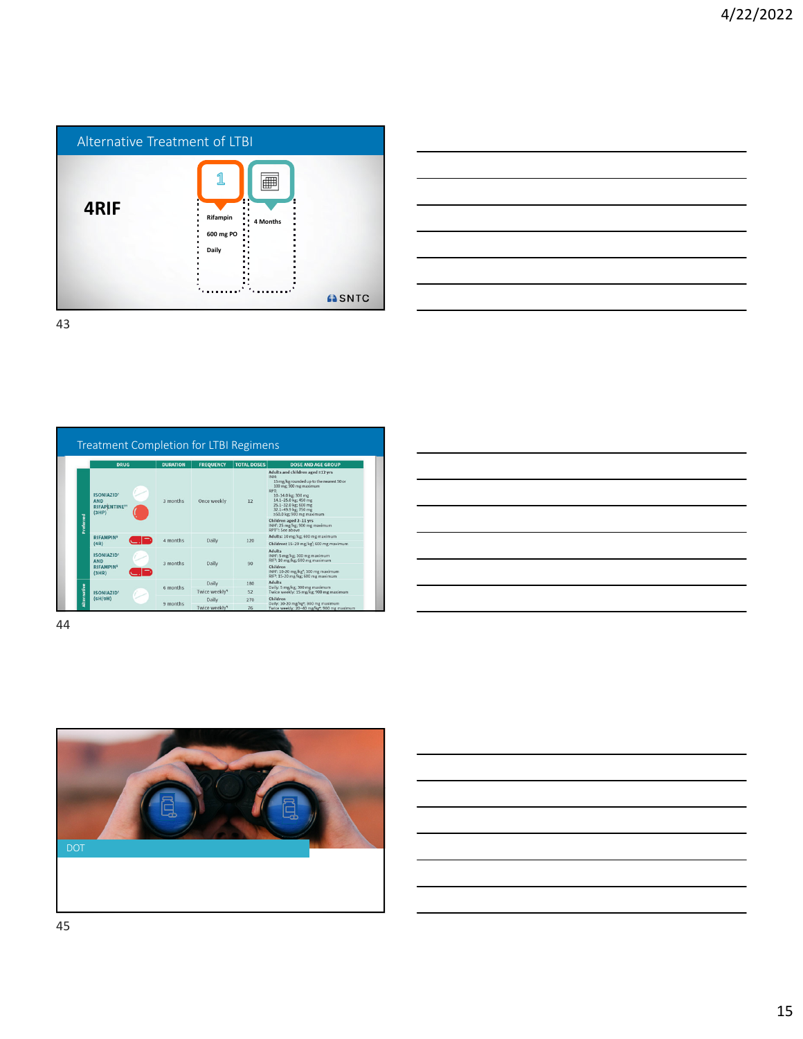



Treatment Completion for LTBI Regimens DURATION FREQUENCY TOTAL DE DOSE AND AGE GROU Maluts and children aged ≥12 yrs<br>
18 mg/kg rounded up to the neares<br>
100 mg 900 mg maximum<br>
100 mg 900 mg maximum ISONIAZID†<br>AND<br>RIFAPENTINE††<br>(3HP) PT:<br>10-14.0 kg; 300 mg<br>14.1-25.0 kg; 450 mg<br>25.1-32.0 kg; 600 mg<br>32.1-49.9 kg; 750 mg<br>≥50.0 kg; 900 mg max 3 months Once weekly  $12$ ged 2-11 yrs<br>e/ket 900 me **INH**<sup>1</sup>: 25<br>ppt: 6 RIFAM<br>(4R) 4 months Daily  $120\,$ mg/kg<sup>1</sup>; 600 mg **ISONIAZID†**<br>AND<br>RIFAMPIN<sup>\$</sup><br>(3HR) Adults<br>INH<sup>1</sup>: 5 300 mg mai<br>: 600 mg ma 3 months  $_{\rm Daily}$ 90 Children<br>|NH': 10-20<br>|RIF<sup>5</sup>: 15-20 mg/kg\*; 300 mg m:<br>mg/kg; 600 mg ma: Daily 180 Adults<br>Daily: 5 mg/kg; 300 mg<br>Twice weekly: 15 mg/kg  $6$  months  $\,$ Twice weekly<sup>4</sup>  $\frac{52}{270}$ ISONIAZID†<br>(6H/9H)  $\frac{ch}{2}$ 9 months Twice weekly

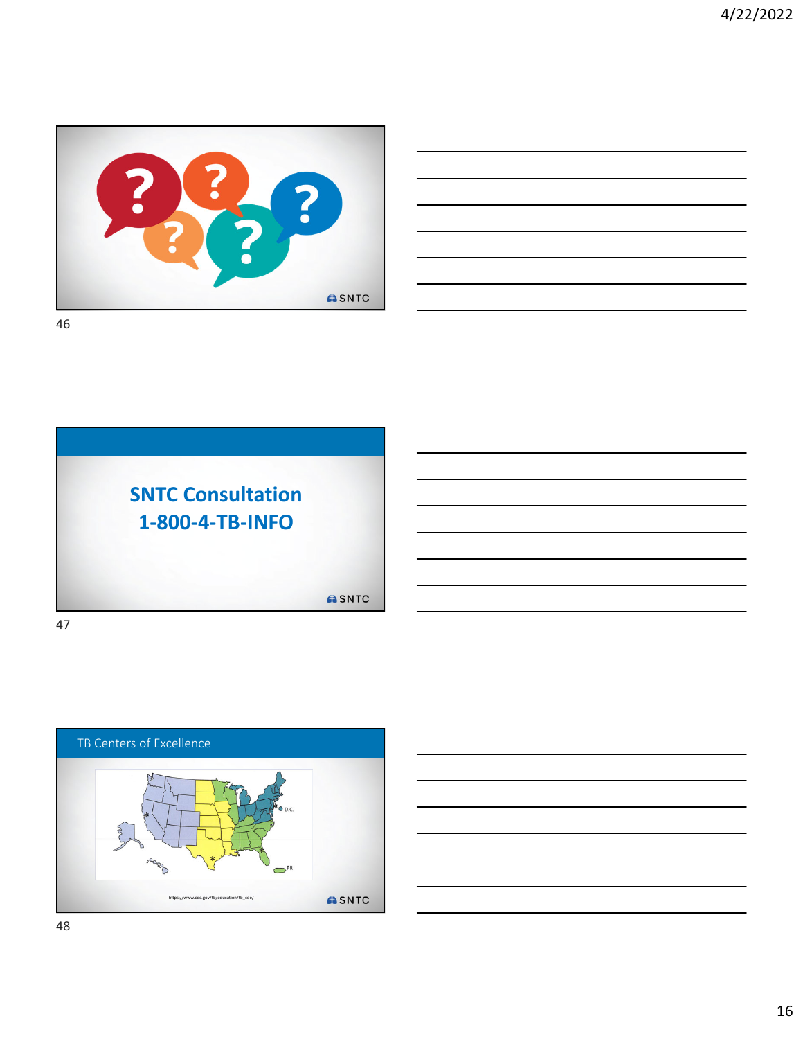